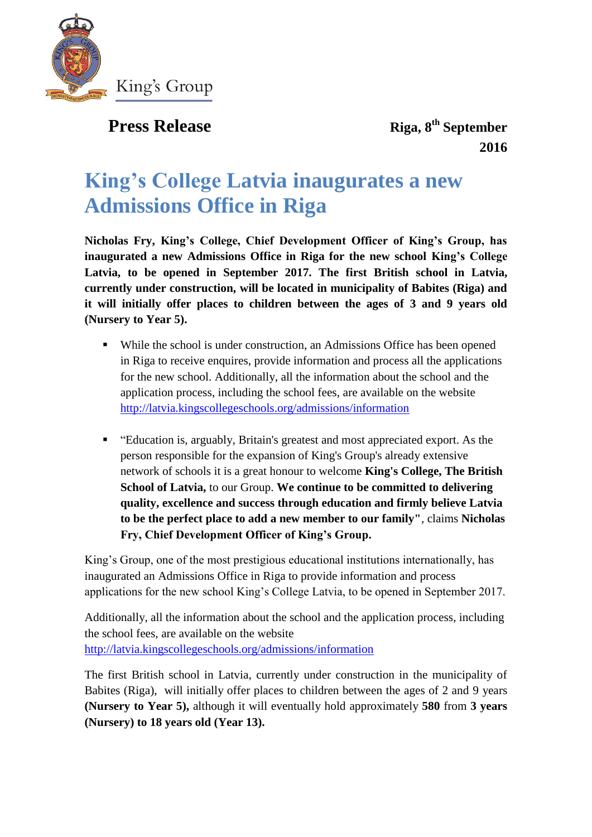

## **Press Release**

**Riga, 8<sup>th</sup> September 2016**

# **King's College Latvia inaugurates a new Admissions Office in Riga**

**Nicholas Fry, King's College, Chief Development Officer of King's Group, has inaugurated a new Admissions Office in Riga for the new school King's College Latvia, to be opened in September 2017. The first British school in Latvia, currently under construction, will be located in municipality of Babites (Riga) and it will initially offer places to children between the ages of 3 and 9 years old (Nursery to Year 5).** 

- While the school is under construction, an Admissions Office has been opened in Riga to receive enquires, provide information and process all the applications for the new school. Additionally, all the information about the school and the application process, including the school fees, are available on the website <http://latvia.kingscollegeschools.org/admissions/information>
- "Education is, arguably, Britain's greatest and most appreciated export. As the person responsible for the expansion of King's Group's already extensive network of schools it is a great honour to welcome **King's College, The British School of Latvia,** to our Group. **We continue to be committed to delivering quality, excellence and success through education and firmly believe Latvia to be the perfect place to add a new member to our family"**, claims **Nicholas Fry, Chief Development Officer of King's Group.**

King's Group, one of the most prestigious educational institutions internationally, has inaugurated an Admissions Office in Riga to provide information and process applications for the new school King's College Latvia, to be opened in September 2017.

Additionally, all the information about the school and the application process, including the school fees, are available on the website <http://latvia.kingscollegeschools.org/admissions/information>

The first British school in Latvia, currently under construction in the municipality of Babites (Riga), will initially offer places to children between the ages of 2 and 9 years **(Nursery to Year 5),** although it will eventually hold approximately **580** from **3 years (Nursery) to 18 years old (Year 13).**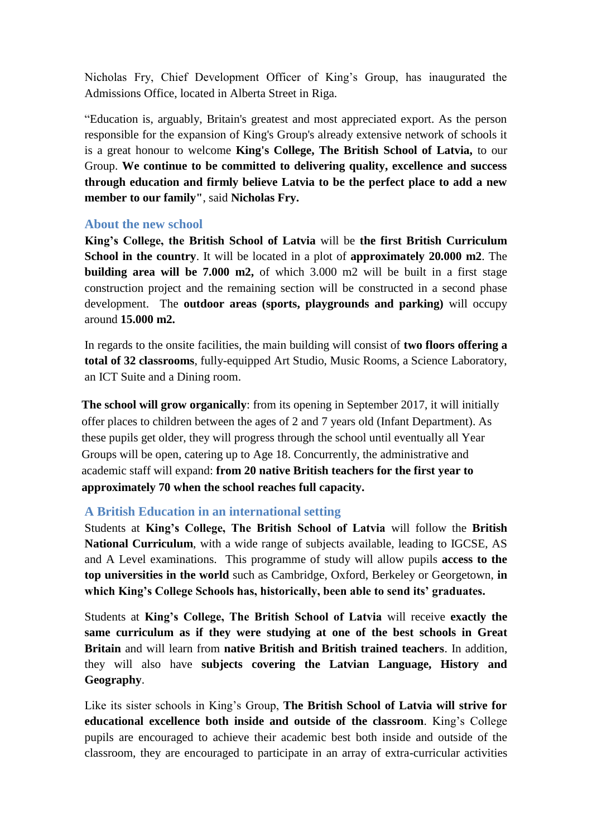Nicholas Fry, Chief Development Officer of King's Group, has inaugurated the Admissions Office, located in Alberta Street in Riga.

"Education is, arguably, Britain's greatest and most appreciated export. As the person responsible for the expansion of King's Group's already extensive network of schools it is a great honour to welcome **King's College, The British School of Latvia,** to our Group. **We continue to be committed to delivering quality, excellence and success through education and firmly believe Latvia to be the perfect place to add a new member to our family"**, said **Nicholas Fry.**

#### **About the new school**

**King's College, the British School of Latvia** will be **the first British Curriculum School in the country**. It will be located in a plot of **approximately 20.000 m2**. The **building area will be 7.000 m2,** of which 3.000 m2 will be built in a first stage construction project and the remaining section will be constructed in a second phase development. The **outdoor areas (sports, playgrounds and parking)** will occupy around **15.000 m2.**

In regards to the onsite facilities, the main building will consist of **two floors offering a total of 32 classrooms**, fully-equipped Art Studio, Music Rooms, a Science Laboratory, an ICT Suite and a Dining room.

**The school will grow organically**: from its opening in September 2017, it will initially offer places to children between the ages of 2 and 7 years old (Infant Department). As these pupils get older, they will progress through the school until eventually all Year Groups will be open, catering up to Age 18. Concurrently, the administrative and academic staff will expand: **from 20 native British teachers for the first year to approximately 70 when the school reaches full capacity.**

### **A British Education in an international setting**

Students at **King's College, The British School of Latvia** will follow the **British National Curriculum**, with a wide range of subjects available, leading to IGCSE, AS and A Level examinations. This programme of study will allow pupils **access to the top universities in the world** such as Cambridge, Oxford, Berkeley or Georgetown, **in which King's College Schools has, historically, been able to send its' graduates.** 

Students at **King's College, The British School of Latvia** will receive **exactly the same curriculum as if they were studying at one of the best schools in Great Britain** and will learn from **native British and British trained teachers**. In addition, they will also have **subjects covering the Latvian Language, History and Geography**.

Like its sister schools in King's Group, **The British School of Latvia will strive for educational excellence both inside and outside of the classroom**. King's College pupils are encouraged to achieve their academic best both inside and outside of the classroom, they are encouraged to participate in an array of extra-curricular activities